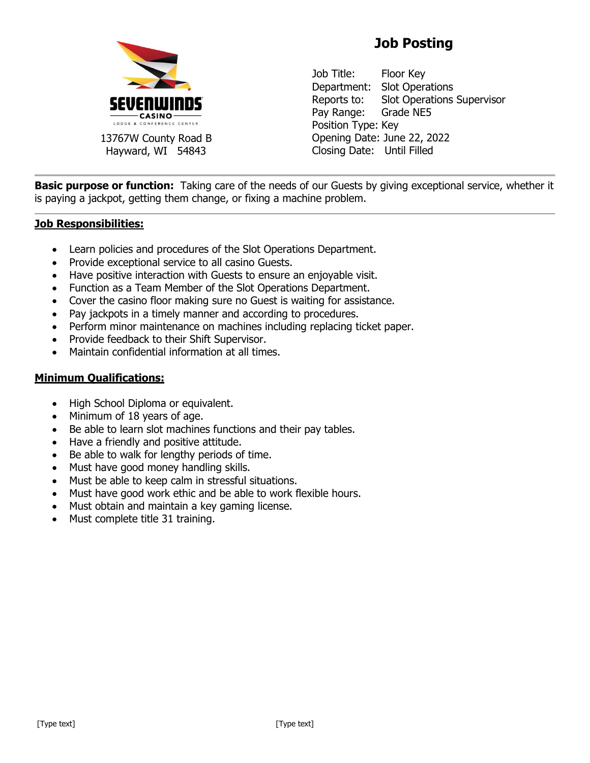

13767W County Road B Hayward, WI 54843

## **Job Posting**

Job Title: Floor Key Department: Slot Operations Reports to: Slot Operations Supervisor Pay Range: Grade NE5 Position Type: Key Opening Date: June 22, 2022 Closing Date: Until Filled

**Basic purpose or function:** Taking care of the needs of our Guests by giving exceptional service, whether it is paying a jackpot, getting them change, or fixing a machine problem.

## **Job Responsibilities:**

- Learn policies and procedures of the Slot Operations Department.
- Provide exceptional service to all casino Guests.
- Have positive interaction with Guests to ensure an enjoyable visit.
- Function as a Team Member of the Slot Operations Department.
- Cover the casino floor making sure no Guest is waiting for assistance.
- Pay jackpots in a timely manner and according to procedures.
- Perform minor maintenance on machines including replacing ticket paper.
- Provide feedback to their Shift Supervisor.
- Maintain confidential information at all times.

## **Minimum Qualifications:**

- High School Diploma or equivalent.
- Minimum of 18 years of age.
- Be able to learn slot machines functions and their pay tables.
- Have a friendly and positive attitude.
- Be able to walk for lengthy periods of time.
- Must have good money handling skills.
- Must be able to keep calm in stressful situations.
- Must have good work ethic and be able to work flexible hours.
- Must obtain and maintain a key gaming license.
- Must complete title 31 training.